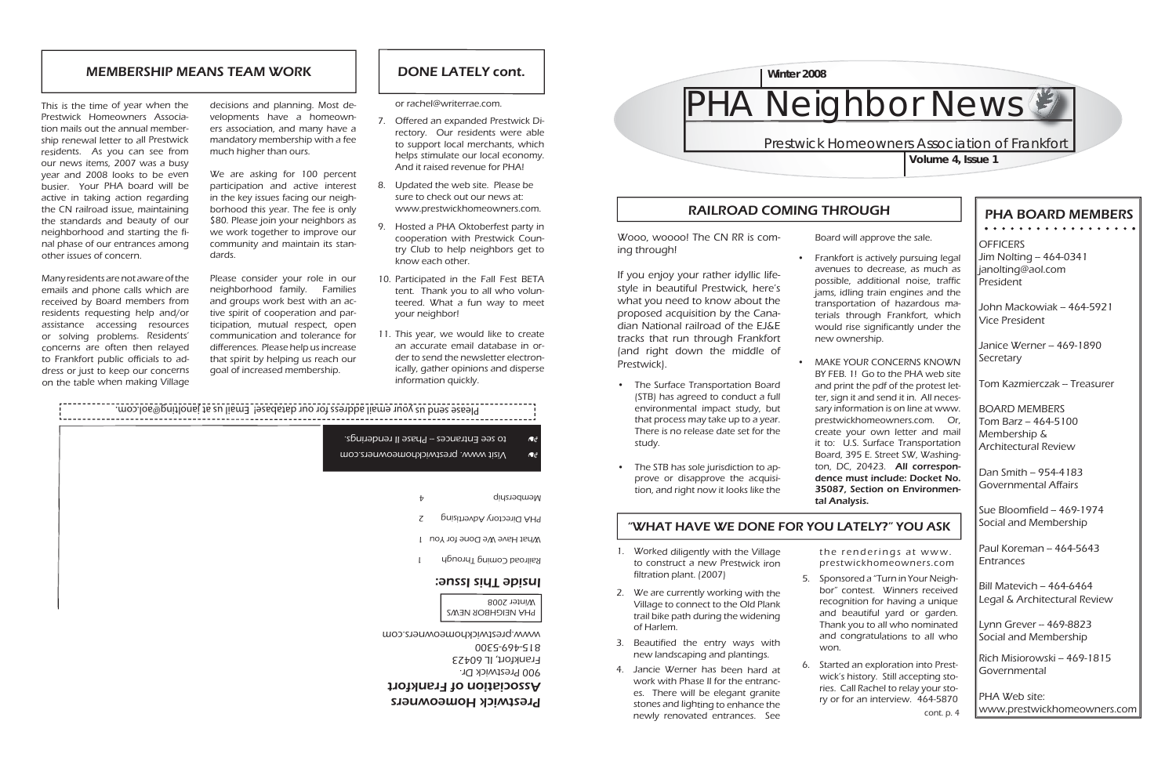### PHA BOARD MEMBERS. . . . . . . . . . . . . . . . . .

**OFFICERS** Jim Nolting -- 464-0341 janolting@aol.com President

John Mackowiak -- 464-5921 Vice President

Janice Werner -- 469-1890 Secretary

Tom Kazmierczak – Treasurer

Dan Smith – 954-4183 Governmental Affairs

 $\sqrt{\frac{S_{\text{U}}}{S_{\text{V}}}}$  Bloomfield -- 469-1974 Social and Membership

Paul Koreman - 464-5643 Entrances

Bill Matevich – 464-6464 Legal & Architectural Review

 $\lfloor$ Lynn Grever -- 469-8823 Social and Membership

BOARD MEMBERS $\textsf{Tom}$  Barz -- 464-5100 Membership & Architectural Review

Rich Misiorowski – 469-1815 Governmental

PHA Web site:www.prestwickhomeowners.com

# RAILROAD COMING THROUGH

"WHAT HAVE WE DONE FOR YOU LATELY?" YOU ASK

- 7. Offered an expanded Prestwick Directory. Our residents were able to support local merchants, which helps stimulate our local economy. And it raised revenue for PHA!
- Updated the web site. Please be 8. sure to check out our news at: www.prestwickhomeowners.com.
- 9. Hosted a PHA Oktoberfest party in cooperation with Prestwick Country Club to help neighbors get to know each other.
- 10. Participated in the Fall Fest BETA tent. Thank you to all who volunteered. What a fun way to meet your neighbor!
- 11. This year, we would like to create an accurate email database in order to send the newsletter electronically, gather opinions and disperse information quickly.



or rachel@writerrae.com.

# Prestwick Homeowners Association of Frankfort**Volume 4, Issue 1**

the renderings at www. prestwickhomeowners.com

5. Sponsored a "Turn in Your Neighbor" contest. Winners received recognition for having a unique and beautiful yard or garden. Thank you to all who nominated and congratulations to all who

- Worked diligently with the Village 1. to construct a new Prestwick iron filtration plant. (2007)
- We are currently working with the 2. Village to connect to the Old Plank trail bike path during the widening of Harlem.
- Beautified the entry ways with 3. new landscaping and plantings.
- 4. Jancie Werner has been hard at work with Phase II for the entrances. There will be elegant granite stones and lighting to enhance the newly renovated entrances. See
- won.
- 

• Frankfort is actively pursuing legal avenues to decrease, as much as possible, additional noise, traffic jams, idling train engines and the transportation of hazardous materials through Frankfort, which would rise significantly under the

This is the time of year when the Prestwick Homeowners Association mails out the annual membership renewal letter to all Prestwick residents. As you can see from our news items, 2007 was a busy year and 2008 looks to be even busier. Your PHA board will be active in taking action regarding the CN railroad issue, maintaining the standards and beauty of our neighborhood and starting the final phase of our entrances among other issues of concern.

Many residents are not aware of the emails and phone calls which are received by Board members from residents requesting help and/or assistance accessing resources or solving problems. Residents' concerns are often then relayed to Frankfort public officials to address or just to keep our concerns on the table when making Village

> Started an exploration into Prest-6. wick's history. Still accepting stories. Call Rachel to relay your story or for an interview. 464-5870 cont. p. 4

## MEMBERSHIP MEANS TEAM WORK

Wooo, woooo! The CN RR is coming through!

If you enjoy your rather idyllic lifestyle in beautiful Prestwick, here's what you need to know about the proposed acquisition by the Canadian National railroad of the EJ&E tracks that run through Frankfort (and right down the middle of Prestwick).



- The Surface Transportation Board •(STB) has agreed to conduct a full environmental impact study, but that process may take up to a year. There is no release date set for the study.
- The STB has sole jurisdiction to approve or disapprove the acquisition, and right now it looks like the •

Board will approve the sale.

- new ownership.
- tal Analysis.

MAKE YOUR CONCERNS KNOWN BY FEB. 1! Go to the PHA web site and print the pdf of the protest letter, sign it and send it in. All necessary information is on line at www. prestwickhomeowners.com. Or, create your own letter and mail it to: U.S. Surface Transportation Board, 395 E. Street SW, Washington, DC, 20423. All correspondence must include: Docket No. 35087, Section on Environmen-

decisions and planning. Most developments have a homeowners association, and many have a mandatory membership with a fee much higher than ours.

We are asking for 100 percent participation and active interest in the key issues facing our neighborhood this year. The fee is only \$80. Please join your neighbors as we work together to improve our community and maintain its standards.

Please consider your role in our neighborhood family. Families and groups work best with an active spirit of cooperation and participation, mutual respect, open communication and tolerance for differences. Please help us increase that spirit by helping us reach our goal of increased membership.